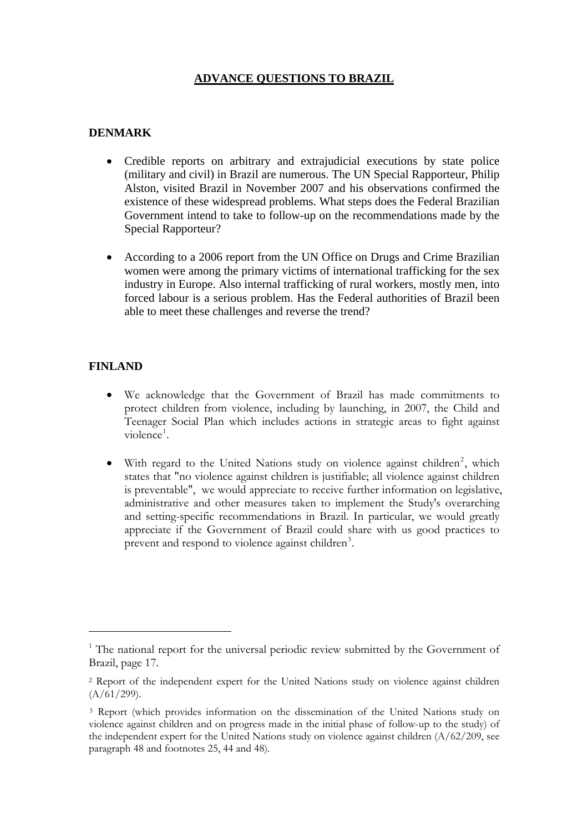### **ADVANCE QUESTIONS TO BRAZIL**

### **DENMARK**

- Credible reports on arbitrary and extrajudicial executions by state police (military and civil) in Brazil are numerous. The UN Special Rapporteur, Philip Alston, visited Brazil in November 2007 and his observations confirmed the existence of these widespread problems. What steps does the Federal Brazilian Government intend to take to follow-up on the recommendations made by the Special Rapporteur?
- According to a 2006 report from the UN Office on Drugs and Crime Brazilian women were among the primary victims of international trafficking for the sex industry in Europe. Also internal trafficking of rural workers, mostly men, into forced labour is a serious problem. Has the Federal authorities of Brazil been able to meet these challenges and reverse the trend?

#### **FINLAND**

 $\overline{a}$ 

- We acknowledge that the Government of Brazil has made commitments to protect children from violence, including by launching, in 2007, the Child and Teenager Social Plan which includes actions in strategic areas to fight against violence<sup>[1](#page-0-0)</sup>.
- With regard to the United Nations study on violence against children<sup>[2](#page-0-1)</sup>, which states that "no violence against children is justifiable; all violence against children is preventable", we would appreciate to receive further information on legislative, administrative and other measures taken to implement the Study's overarching and setting-specific recommendations in Brazil. In particular, we would greatly appreciate if the Government of Brazil could share with us good practices to prevent and respond to violence against children<sup>[3](#page-0-2)</sup>.

<span id="page-0-0"></span><sup>&</sup>lt;sup>1</sup> The national report for the universal periodic review submitted by the Government of Brazil, page 17.

<span id="page-0-1"></span><sup>2</sup> Report of the independent expert for the United Nations study on violence against children  $(A/61/299).$ 

<span id="page-0-2"></span><sup>3</sup> Report (which provides information on the dissemination of the United Nations study on violence against children and on progress made in the initial phase of follow-up to the study) of the independent expert for the United Nations study on violence against children (A/62/209, see paragraph 48 and footnotes 25, 44 and 48).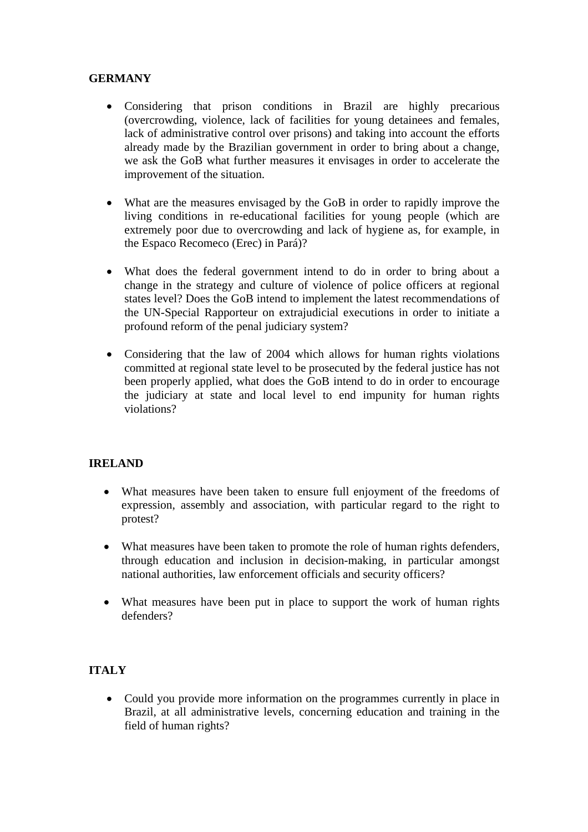## **GERMANY**

- Considering that prison conditions in Brazil are highly precarious (overcrowding, violence, lack of facilities for young detainees and females, lack of administrative control over prisons) and taking into account the efforts already made by the Brazilian government in order to bring about a change, we ask the GoB what further measures it envisages in order to accelerate the improvement of the situation.
- What are the measures envisaged by the GoB in order to rapidly improve the living conditions in re-educational facilities for young people (which are extremely poor due to overcrowding and lack of hygiene as, for example, in the Espaco Recomeco (Erec) in Pará)?
- What does the federal government intend to do in order to bring about a change in the strategy and culture of violence of police officers at regional states level? Does the GoB intend to implement the latest recommendations of the UN-Special Rapporteur on extrajudicial executions in order to initiate a profound reform of the penal judiciary system?
- Considering that the law of 2004 which allows for human rights violations committed at regional state level to be prosecuted by the federal justice has not been properly applied, what does the GoB intend to do in order to encourage the judiciary at state and local level to end impunity for human rights violations?

### **IRELAND**

- What measures have been taken to ensure full enjoyment of the freedoms of expression, assembly and association, with particular regard to the right to protest?
- What measures have been taken to promote the role of human rights defenders, through education and inclusion in decision-making, in particular amongst national authorities, law enforcement officials and security officers?
- What measures have been put in place to support the work of human rights defenders?

# **ITALY**

• Could you provide more information on the programmes currently in place in Brazil, at all administrative levels, concerning education and training in the field of human rights?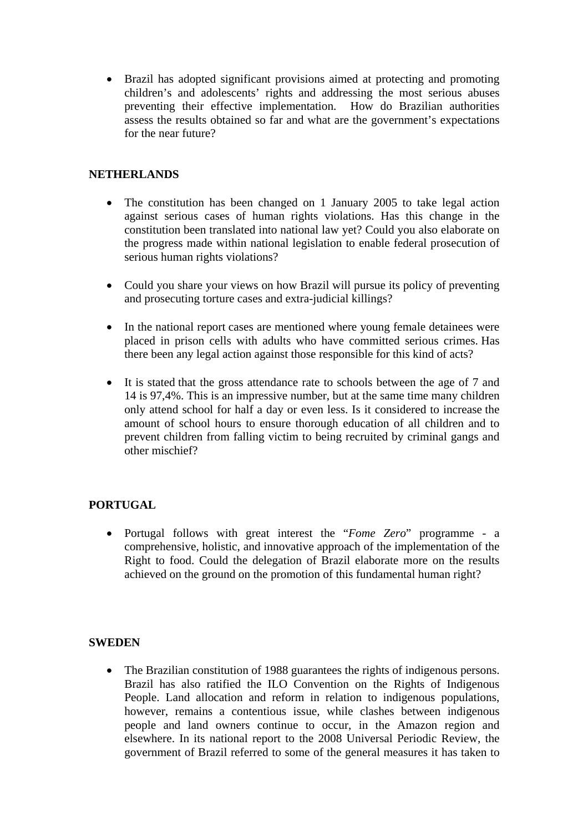• Brazil has adopted significant provisions aimed at protecting and promoting children's and adolescents' rights and addressing the most serious abuses preventing their effective implementation. How do Brazilian authorities assess the results obtained so far and what are the government's expectations for the near future?

## **NETHERLANDS**

- The constitution has been changed on 1 January 2005 to take legal action against serious cases of human rights violations. Has this change in the constitution been translated into national law yet? Could you also elaborate on the progress made within national legislation to enable federal prosecution of serious human rights violations?
- Could you share your views on how Brazil will pursue its policy of preventing and prosecuting torture cases and extra-judicial killings?
- In the national report cases are mentioned where young female detainees were placed in prison cells with adults who have committed serious crimes. Has there been any legal action against those responsible for this kind of acts?
- It is stated that the gross attendance rate to schools between the age of 7 and 14 is 97,4%. This is an impressive number, but at the same time many children only attend school for half a day or even less. Is it considered to increase the amount of school hours to ensure thorough education of all children and to prevent children from falling victim to being recruited by criminal gangs and other mischief?

# **PORTUGAL**

• Portugal follows with great interest the "*Fome Zero*" programme - a comprehensive, holistic, and innovative approach of the implementation of the Right to food. Could the delegation of Brazil elaborate more on the results achieved on the ground on the promotion of this fundamental human right?

#### **SWEDEN**

• The Brazilian constitution of 1988 guarantees the rights of indigenous persons. Brazil has also ratified the ILO Convention on the Rights of Indigenous People. Land allocation and reform in relation to indigenous populations, however, remains a contentious issue, while clashes between indigenous people and land owners continue to occur, in the Amazon region and elsewhere. In its national report to the 2008 Universal Periodic Review, the government of Brazil referred to some of the general measures it has taken to